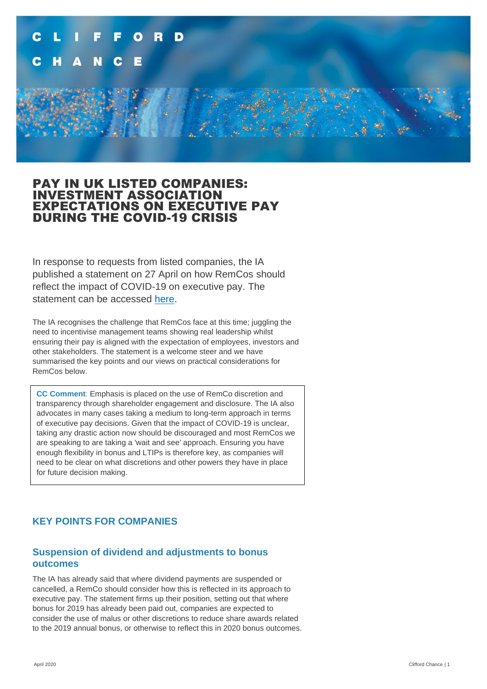

### PAY IN UK LISTED COMPANIES: INVESTMENT ASSOCIATION EXPECTATIONS ON EXECUTIVE PAY DURING THE COVID-19 CRISIS

In response to requests from listed companies, the IA published a statement on 27 April on how RemCos should reflect the impact of COVID-19 on executive pay. The statement can be accessed [here.](https://sites-cliffordchance.vuturevx.com/e/kausib1ti43eytg/768fd8b9-a472-4aa1-bda1-de28804760dd)

The IA recognises the challenge that RemCos face at this time; juggling the need to incentivise management teams showing real leadership whilst ensuring their pay is aligned with the expectation of employees, investors and other stakeholders. The statement is a welcome steer and we have summarised the key points and our views on practical considerations for RemCos below.

**CC Comment**: Emphasis is placed on the use of RemCo discretion and transparency through shareholder engagement and disclosure. The IA also advocates in many cases taking a medium to long-term approach in terms of executive pay decisions. Given that the impact of COVID-19 is unclear, taking any drastic action now should be discouraged and most RemCos we are speaking to are taking a 'wait and see' approach. Ensuring you have enough flexibility in bonus and LTIPs is therefore key, as companies will need to be clear on what discretions and other powers they have in place for future decision making.

### **KEY POINTS FOR COMPANIES**

#### **Suspension of dividend and adjustments to bonus outcomes**

The IA has already said that where dividend payments are suspended or cancelled, a RemCo should consider how this is reflected in its approach to executive pay. The statement firms up their position, setting out that where bonus for 2019 has already been paid out, companies are expected to consider the use of malus or other discretions to reduce share awards related to the 2019 annual bonus, or otherwise to reflect this in 2020 bonus outcomes.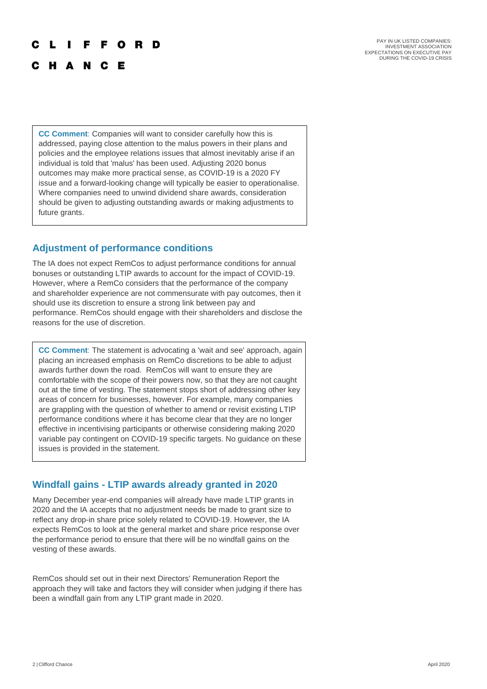#### R F C

C H A N C E

PAY IN UK LISTED COMPANIES INVESTMENT ASSOCIATION EXPECTATIONS ON EXECUTIVE PAY DURING THE COVID-19 CRISIS

**CC Comment**: Companies will want to consider carefully how this is addressed, paying close attention to the malus powers in their plans and policies and the employee relations issues that almost inevitably arise if an individual is told that 'malus' has been used. Adjusting 2020 bonus outcomes may make more practical sense, as COVID-19 is a 2020 FY issue and a forward-looking change will typically be easier to operationalise. Where companies need to unwind dividend share awards, consideration should be given to adjusting outstanding awards or making adjustments to future grants.

#### **Adjustment of performance conditions**

The IA does not expect RemCos to adjust performance conditions for annual bonuses or outstanding LTIP awards to account for the impact of COVID-19. However, where a RemCo considers that the performance of the company and shareholder experience are not commensurate with pay outcomes, then it should use its discretion to ensure a strong link between pay and performance. RemCos should engage with their shareholders and disclose the reasons for the use of discretion.

**CC Comment**: The statement is advocating a 'wait and see' approach, again placing an increased emphasis on RemCo discretions to be able to adjust awards further down the road. RemCos will want to ensure they are comfortable with the scope of their powers now, so that they are not caught out at the time of vesting. The statement stops short of addressing other key areas of concern for businesses, however. For example, many companies are grappling with the question of whether to amend or revisit existing LTIP performance conditions where it has become clear that they are no longer effective in incentivising participants or otherwise considering making 2020 variable pay contingent on COVID-19 specific targets. No guidance on these issues is provided in the statement.

#### **Windfall gains - LTIP awards already granted in 2020**

Many December year-end companies will already have made LTIP grants in 2020 and the IA accepts that no adjustment needs be made to grant size to reflect any drop-in share price solely related to COVID-19. However, the IA expects RemCos to look at the general market and share price response over the performance period to ensure that there will be no windfall gains on the vesting of these awards.

RemCos should set out in their next Directors' Remuneration Report the approach they will take and factors they will consider when judging if there has been a windfall gain from any LTIP grant made in 2020.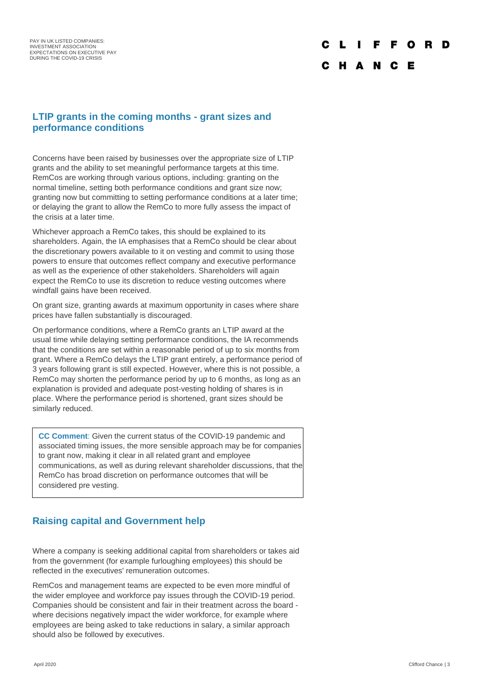# F O C H A N C E

#### **LTIP grants in the coming months - grant sizes and performance conditions**

Concerns have been raised by businesses over the appropriate size of LTIP grants and the ability to set meaningful performance targets at this time. RemCos are working through various options, including: granting on the normal timeline, setting both performance conditions and grant size now; granting now but committing to setting performance conditions at a later time; or delaying the grant to allow the RemCo to more fully assess the impact of the crisis at a later time.

Whichever approach a RemCo takes, this should be explained to its shareholders. Again, the IA emphasises that a RemCo should be clear about the discretionary powers available to it on vesting and commit to using those powers to ensure that outcomes reflect company and executive performance as well as the experience of other stakeholders. Shareholders will again expect the RemCo to use its discretion to reduce vesting outcomes where windfall gains have been received.

On grant size, granting awards at maximum opportunity in cases where share prices have fallen substantially is discouraged.

On performance conditions, where a RemCo grants an LTIP award at the usual time while delaying setting performance conditions, the IA recommends that the conditions are set within a reasonable period of up to six months from grant. Where a RemCo delays the LTIP grant entirely, a performance period of 3 years following grant is still expected. However, where this is not possible, a RemCo may shorten the performance period by up to 6 months, as long as an explanation is provided and adequate post-vesting holding of shares is in place. Where the performance period is shortened, grant sizes should be similarly reduced.

**CC Comment**: Given the current status of the COVID-19 pandemic and associated timing issues, the more sensible approach may be for companies to grant now, making it clear in all related grant and employee communications, as well as during relevant shareholder discussions, that the RemCo has broad discretion on performance outcomes that will be considered pre vesting.

### **Raising capital and Government help**

Where a company is seeking additional capital from shareholders or takes aid from the government (for example furloughing employees) this should be reflected in the executives' remuneration outcomes.

RemCos and management teams are expected to be even more mindful of the wider employee and workforce pay issues through the COVID-19 period. Companies should be consistent and fair in their treatment across the board where decisions negatively impact the wider workforce, for example where employees are being asked to take reductions in salary, a similar approach should also be followed by executives.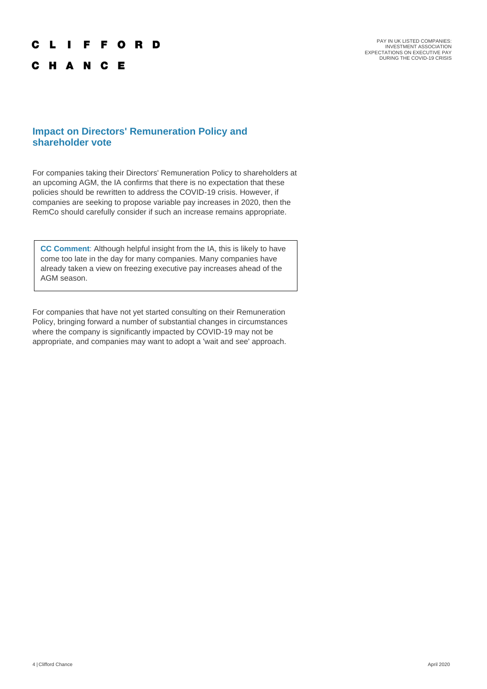#### C L I F F O R D

C H A N C E

PAY IN UK LISTED COMPANIES:<br>INVESTMENT ASSOCIATION<br>EXPECTATIONS ON EXECUTIVE PAY<br>DURING THE COVID-19 CRISIS

#### **Impact on Directors' Remuneration Policy and shareholder vote**

For companies taking their Directors' Remuneration Policy to shareholders at an upcoming AGM, the IA confirms that there is no expectation that these policies should be rewritten to address the COVID-19 crisis. However, if companies are seeking to propose variable pay increases in 2020, then the RemCo should carefully consider if such an increase remains appropriate.

**CC Comment**: Although helpful insight from the IA, this is likely to have come too late in the day for many companies. Many companies have already taken a view on freezing executive pay increases ahead of the AGM season.

For companies that have not yet started consulting on their Remuneration Policy, bringing forward a number of substantial changes in circumstances where the company is significantly impacted by COVID-19 may not be appropriate, and companies may want to adopt a 'wait and see' approach.